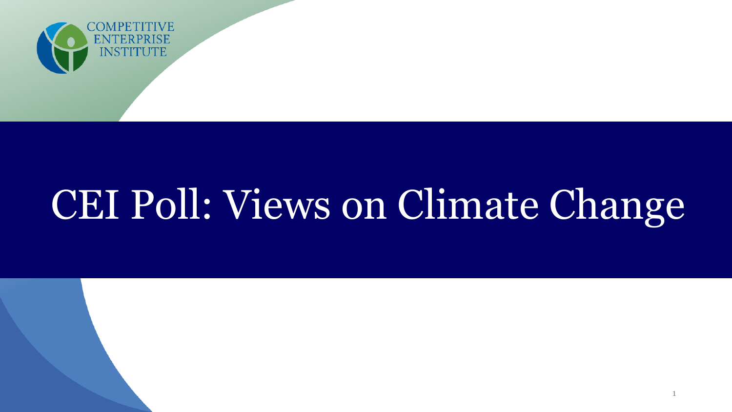

# CEI Poll: Views on Climate Change

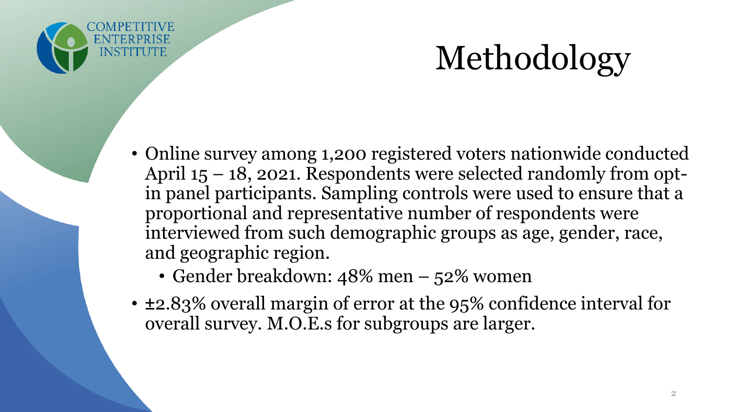

# Methodology

- Online survey among 1,200 registered voters nationwide conducted April 15 – 18, 2021. Respondents were selected randomly from optin panel participants. Sampling controls were used to ensure that a proportional and representative number of respondents were interviewed from such demographic groups as age, gender, race, and geographic region.
	- Gender breakdown: 48% men 52% women
- ±2.83% overall margin of error at the 95% confidence interval for overall survey. M.O.E.s for subgroups are larger.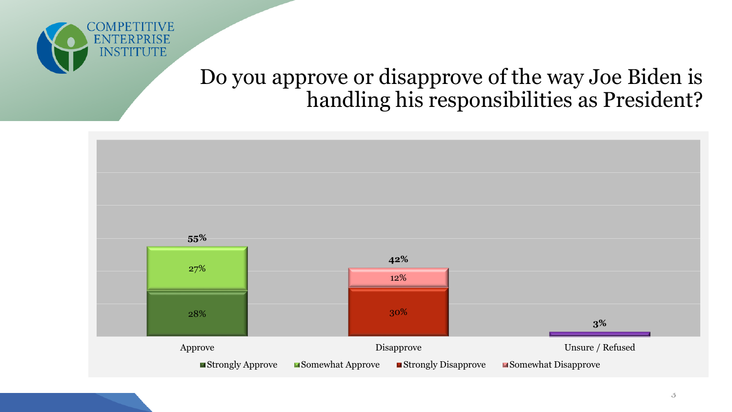

#### Do you approve or disapprove of the way Joe Biden is handling his responsibilities as President?

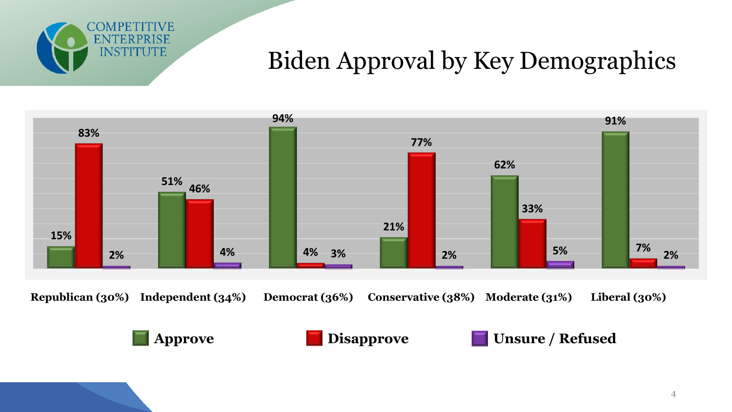

### Biden Approval by Key Demographics

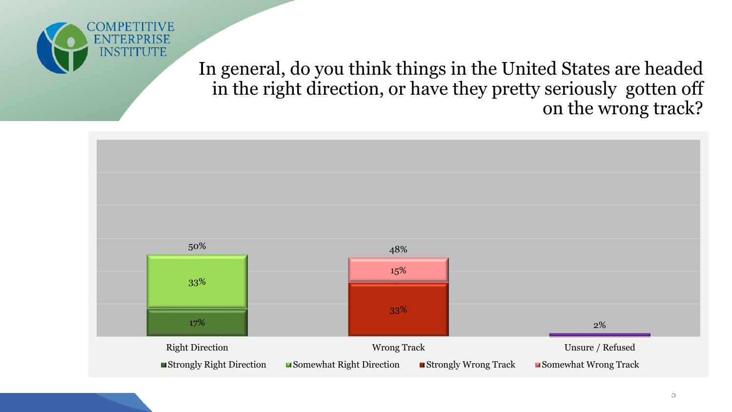

In general, do you think things in the United States are headed in the right direction, or have they pretty seriously gotten off on the wrong track?

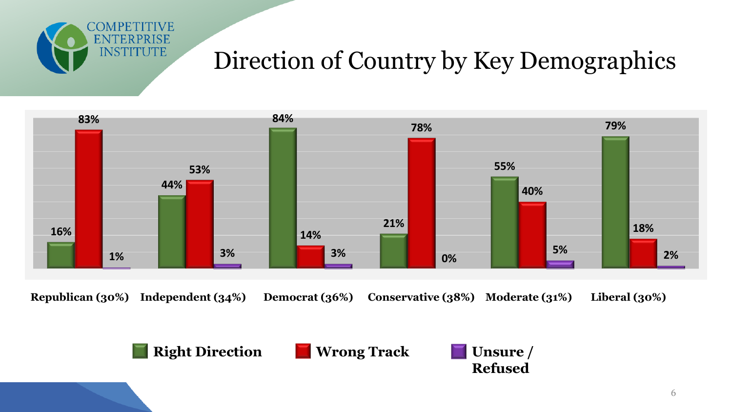

#### Direction of Country by Key Demographics



**Republican (30%) Independent (34%) Democrat (36%) Conservative (38%) Moderate (31%) Liberal (30%)**

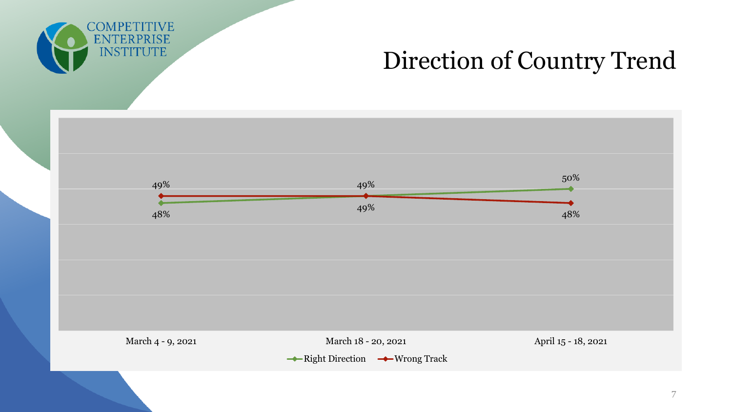

## Direction of Country Trend

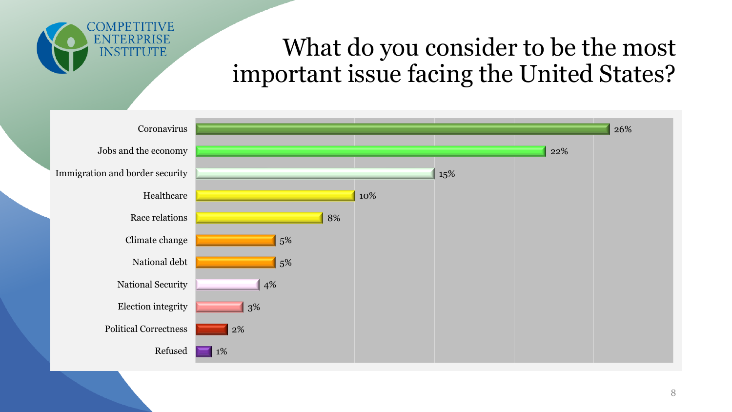

#### What do you consider to be the most important issue facing the United States?

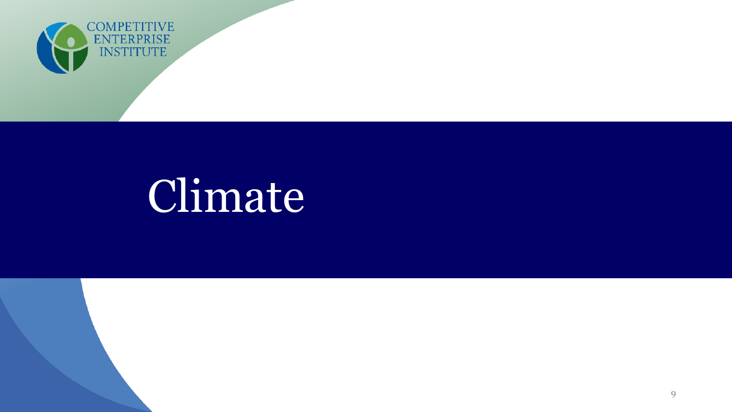

# Climate

9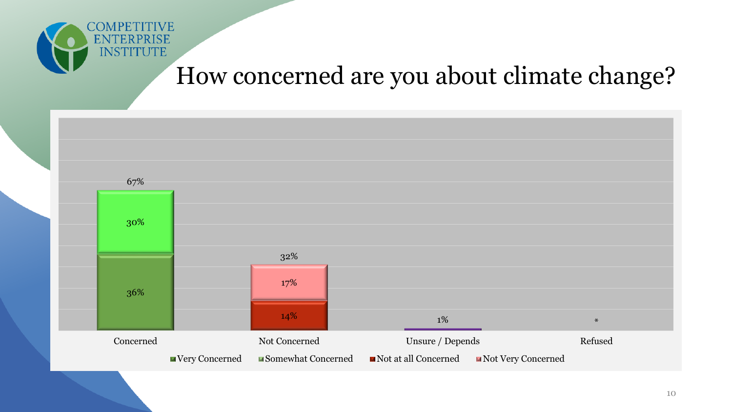

#### How concerned are you about climate change?

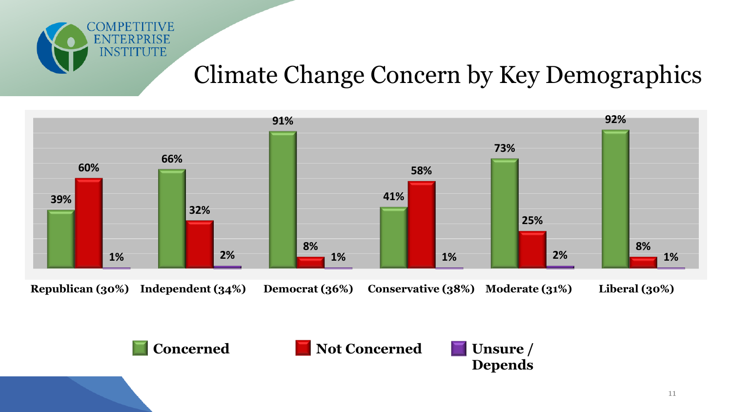

#### Climate Change Concern by Key Demographics

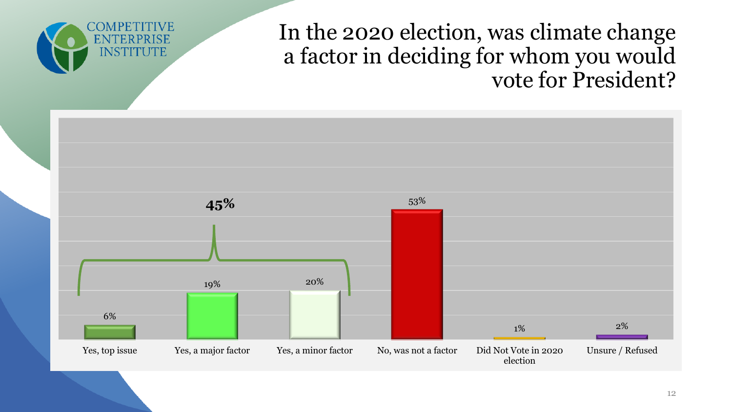



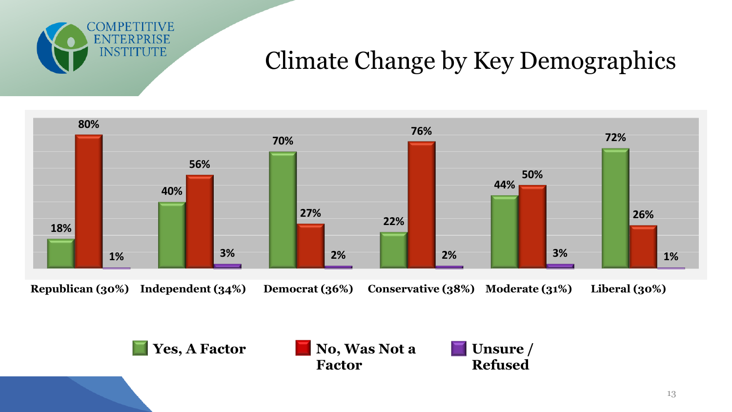

#### Climate Change by Key Demographics

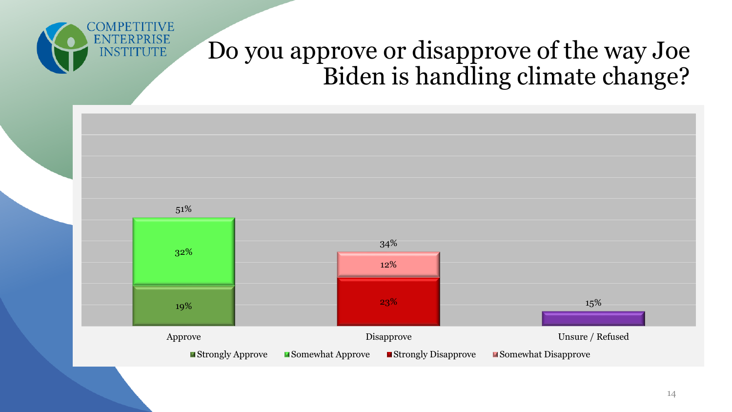

### Do you approve or disapprove of the way Joe Biden is handling climate change?

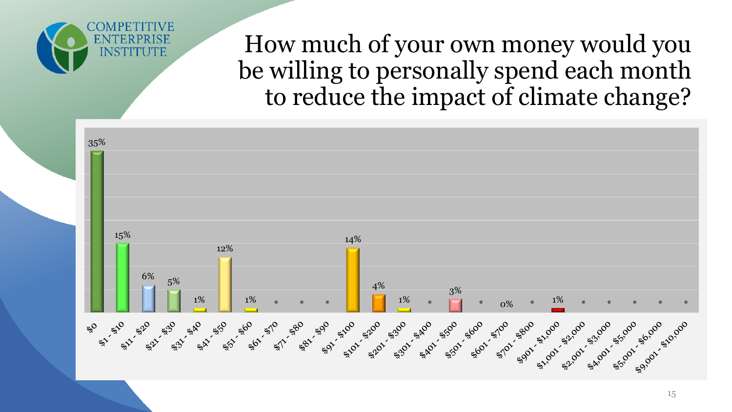

How much of your own money would you be willing to personally spend each month to reduce the impact of climate change?

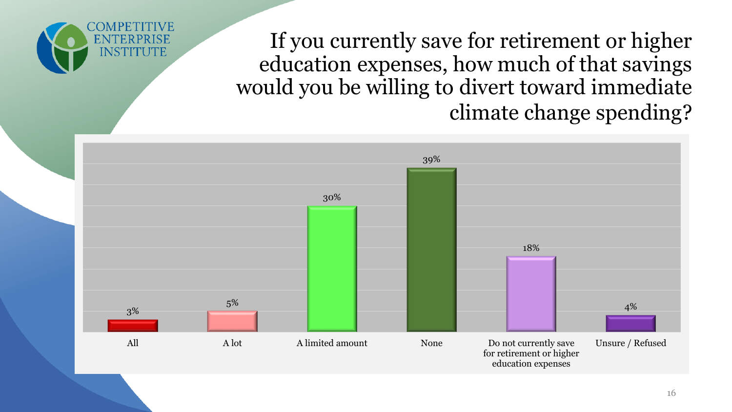#### If you currently save for retirement or higher education expenses, how much of that savings would you be willing to divert toward immediate climate change spending?



ENTERPRISE **INSTITUTE**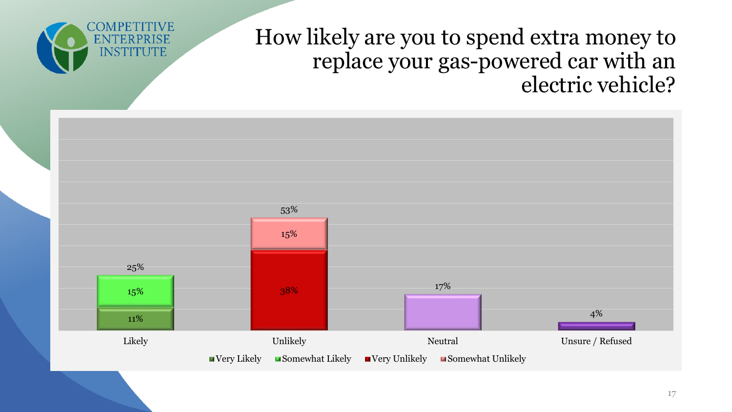

#### How likely are you to spend extra money to replace your gas-powered car with an electric vehicle?